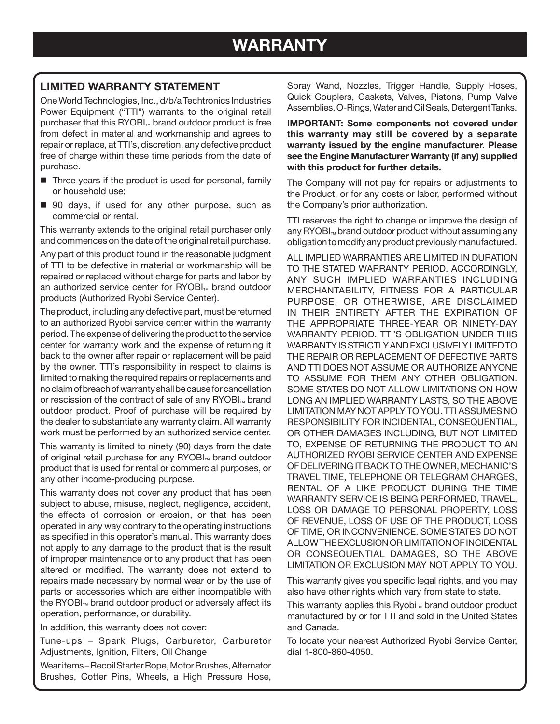## **LIMITED WARRANTY STATEMENT**

One World Technologies, Inc., d/b/a Techtronics Industries Power Equipment ("TTI") warrants to the original retail purchaser that this RYOBI<sub>™</sub> brand outdoor product is free from defect in material and workmanship and agrees to repair or replace, at TTI's, discretion, any defective product free of charge within these time periods from the date of purchase.

- Three years if the product is used for personal, family or household use;
- 90 days, if used for any other purpose, such as commercial or rental.

This warranty extends to the original retail purchaser only and commences on the date of the original retail purchase.

Any part of this product found in the reasonable judgment of TTI to be defective in material or workmanship will be repaired or replaced without charge for parts and labor by an authorized service center for RYOBI<sub>™</sub> brand outdoor products (Authorized Ryobi Service Center).

The product, including any defective part, must be returned to an authorized Ryobi service center within the warranty period. The expense of delivering the product to the service center for warranty work and the expense of returning it back to the owner after repair or replacement will be paid by the owner. TTI's responsibility in respect to claims is limited to making the required repairs or replacements and no claim of breach of warranty shall be cause for cancellation or rescission of the contract of sale of any  $\text{RYOBI}_{\text{TM}}$  brand outdoor product. Proof of purchase will be required by the dealer to substantiate any warranty claim. All warranty work must be performed by an authorized service center.

This warranty is limited to ninety (90) days from the date of original retail purchase for any RYOBI<sub>™</sub> brand outdoor product that is used for rental or commercial purposes, or any other income-producing purpose.

This warranty does not cover any product that has been subject to abuse, misuse, neglect, negligence, accident, the effects of corrosion or erosion, or that has been operated in any way contrary to the operating instructions as specified in this operator's manual. This warranty does not apply to any damage to the product that is the result of improper maintenance or to any product that has been altered or modified. The warranty does not extend to repairs made necessary by normal wear or by the use of parts or accessories which are either incompatible with the RYOBI<sub>™</sub> brand outdoor product or adversely affect its operation, performance, or durability.

In addition, this warranty does not cover:

Tune-ups – Spark Plugs, Carburetor, Carburetor Adjustments, Ignition, Filters, Oil Change

Wear items – Recoil Starter Rope, Motor Brushes, Alternator Brushes, Cotter Pins, Wheels, a High Pressure Hose, Spray Wand, Nozzles, Trigger Handle, Supply Hoses, Quick Couplers, Gaskets, Valves, Pistons, Pump Valve Assemblies, O-Rings, Water and Oil Seals, Detergent Tanks.

**IMPORTANT: Some components not covered under this warranty may still be covered by a separate warranty issued by the engine manufacturer. Please see the Engine Manufacturer Warranty (if any) supplied with this product for further details.**

The Company will not pay for repairs or adjustments to the Product, or for any costs or labor, performed without the Company's prior authorization.

TTI reserves the right to change or improve the design of any  $\mathsf{RYOBI}_{\mathsf{TM}}$  brand outdoor product without assuming any obligation to modify any product previously manufactured.

ALL IMPLIED WARRANTIES ARE LIMITED IN DURATION TO THE STATED WARRANTY PERIOD. ACCORDINGLY, ANY SUCH IMPLIED WARRANTIES INCLUDING MERCHANTABILITY, FITNESS FOR A PARTICULAR PURPOSE, OR OTHERWISE, ARE DISCLAIMED IN THEIR ENTIRETY AFTER THE EXPIRATION OF THE APPROPRIATE THREE-YEAR OR NINETY-DAY WARRANTY PERIOD. TTI'S OBLIGATION UNDER THIS WARRANTY IS STRICTLY AND EXCLUSIVELY LIMITED TO THE REPAIR OR REPLACEMENT OF DEFECTIVE PARTS AND TTI DOES NOT ASSUME OR AUTHORIZE ANYONE TO ASSUME FOR THEM ANY OTHER OBLIGATION. SOME STATES DO NOT ALLOW LIMITATIONS ON HOW LONG AN IMPLIED WARRANTY LASTS, SO THE ABOVE LIMITATION MAY NOT APPLY TO YOU. TTI ASSUMES NO RESPONSIBILITY FOR INCIDENTAL, CONSEQUENTIAL, OR OTHER DAMAGES INCLUDING, BUT NOT LIMITED TO, EXPENSE OF RETURNING THE PRODUCT TO AN AUTHORIZED RYOBI SERVICE CENTER AND EXPENSE OF DELIVERING IT BACK TO THE OWNER, MECHANIC'S TRAVEL TIME, TELEPHONE OR TELEGRAM CHARGES, RENTAL OF A LIKE PRODUCT DURING THE TIME WARRANTY SERVICE IS BEING PERFORMED, TRAVEL, LOSS OR DAMAGE TO PERSONAL PROPERTY, LOSS OF REVENUE, LOSS OF USE OF THE PRODUCT, LOSS OF TIME, OR INCONVENIENCE. SOME STATES DO NOT ALLOW THE EXCLUSION OR LIMITATION OF INCIDENTAL OR CONSEQUENTIAL DAMAGES, SO THE ABOVE LIMITATION OR EXCLUSION MAY NOT APPLY TO YOU.

This warranty gives you specific legal rights, and you may also have other rights which vary from state to state.

This warranty applies this Ryobi<sub>™</sub> brand outdoor product manufactured by or for TTI and sold in the United States and Canada.

To locate your nearest Authorized Ryobi Service Center, dial 1-800-860-4050.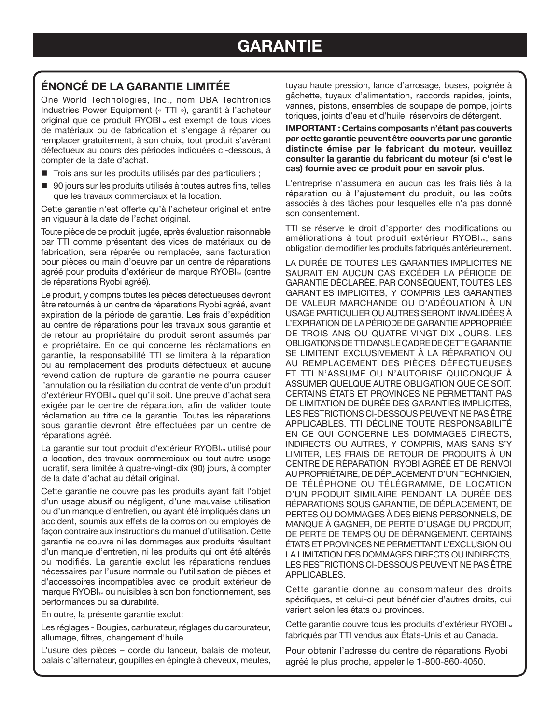## **ÉNONCÉ DE LA GARANTIE LIMITÉE**

One World Technologies, Inc., nom DBA Techtronics Industries Power Equipment (« TTI »), garantit à l'acheteur original que ce produit RYOBI<sub>™</sub> est exempt de tous vices de matériaux ou de fabrication et s'engage à réparer ou remplacer gratuitement, à son choix, tout produit s'avérant défectueux au cours des périodes indiquées ci-dessous, à compter de la date d'achat.

- Trois ans sur les produits utilisés par des particuliers ;
- 90 jours sur les produits utilisés à toutes autres fins, telles que les travaux commerciaux et la location.

Cette garantie n'est offerte qu'à l'acheteur original et entre en vigueur à la date de l'achat original.

Toute pièce de ce produit jugée, après évaluation raisonnable par TTI comme présentant des vices de matériaux ou de fabrication, sera réparée ou remplacée, sans facturation pour pièces ou main d'oeuvre par un centre de réparations agréé pour produits d'extérieur de marque RYOBI<sub>™</sub> (centre de réparations Ryobi agréé).

Le produit, y compris toutes les pièces défectueuses devront être retournés à un centre de réparations Ryobi agréé, avant expiration de la période de garantie. Les frais d'expédition au centre de réparations pour les travaux sous garantie et de retour au propriétaire du produit seront assumés par le propriétaire. En ce qui concerne les réclamations en garantie, la responsabilité TTI se limitera à la réparation ou au remplacement des produits défectueux et aucune revendication de rupture de garantie ne pourra causer l'annulation ou la résiliation du contrat de vente d'un produit d'extérieur RYOBI<sub>™</sub> quel qu'il soit. Une preuve d'achat sera exigée par le centre de réparation, afin de valider toute réclamation au titre de la garantie. Toutes les réparations sous garantie devront être effectuées par un centre de réparations agréé.

La garantie sur tout produit d'extérieur RYOBI<sub>™</sub> utilisé pour la location, des travaux commerciaux ou tout autre usage lucratif, sera limitée à quatre-vingt-dix (90) jours, à compter de la date d'achat au détail original.

Cette garantie ne couvre pas les produits ayant fait l'objet d'un usage abusif ou négligent, d'une mauvaise utilisation ou d'un manque d'entretien, ou ayant été impliqués dans un accident, soumis aux effets de la corrosion ou employés de façon contraire aux instructions du manuel d'utilisation. Cette garantie ne couvre ni les dommages aux produits résultant d'un manque d'entretien, ni les produits qui ont été altérés ou modifiés. La garantie exclut les réparations rendues nécessaires par l'usure normale ou l'utilisation de pièces et d'accessoires incompatibles avec ce produit extérieur de marque RYOBI<sub>™</sub> ou nuisibles à son bon fonctionnement, ses performances ou sa durabilité.

En outre, la présente garantie exclut:

Les réglages - Bougies, carburateur, réglages du carburateur, allumage, filtres, changement d'huile

L'usure des pièces – corde du lanceur, balais de moteur, balais d'alternateur, goupilles en épingle à cheveux, meules, tuyau haute pression, lance d'arrosage, buses, poignée à gâchette, tuyaux d'alimentation, raccords rapides, joints, vannes, pistons, ensembles de soupape de pompe, joints toriques, joints d'eau et d'huile, réservoirs de détergent.

**IMPORTANT : Certains composants n'étant pas couverts par cette garantie peuvent être couverts par une garantie distincte émise par le fabricant du moteur. veuillez consulter la garantie du fabricant du moteur (si c'est le cas) fournie avec ce produit pour en savoir plus.**

L'entreprise n'assumera en aucun cas les frais liés à la réparation ou à l'ajustement du produit, ou les coûts associés à des tâches pour lesquelles elle n'a pas donné son consentement.

TTI se réserve le droit d'apporter des modifications ou améliorations à tout produit extérieur RYOBI<sub>™</sub>, sans obligation de modifier les produits fabriqués antérieurement.

LA DURÉE DE TOUTES LES GARANTIES IMPLICITES NE SAURAIT EN AUCUN CAS EXCÉDER LA PÉRIODE DE GARANTIE DÉCLARÉE. PAR CONSÉQUENT, TOUTES LES GARANTIES IMPLICITES, Y COMPRIS LES GARANTIES DE VALEUR MARCHANDE OU D'ADÉQUATION À UN USAGE PARTICULIER OU AUTRES SERONT INVALIDÉES À L'EXPIRATION DE LA PÉRIODE DE GARANTIE APPROPRIÉE DE TROIS ANS OU QUATRE-VINGT-DIX JOURS. LES OBLIGATIONS DE TTI DANS LE CADRE DE CETTE GARANTIE SE LIMITENT EXCLUSIVEMENT À LA RÉPARATION OU AU REMPLACEMENT DES PIÈCES DÉFECTUEUSES ET TTI N'ASSUME OU N'AUTORISE QUICONQUE À ASSUMER QUELQUE AUTRE OBLIGATION QUE CE SOIT. CERTAINS ÉTATS ET PROVINCES NE PERMETTANT PAS DE LIMITATION DE DURÉE DES GARANTIES IMPLICITES, LES RESTRICTIONS CI-DESSOUS PEUVENT NE PAS ÊTRE APPLICABLES. TTI DÉCLINE TOUTE RESPONSABILITÉ EN CE QUI CONCERNE LES DOMMAGES DIRECTS, INDIRECTS OU AUTRES, Y COMPRIS, MAIS SANS S'Y LIMITER, LES FRAIS DE RETOUR DE PRODUITS À UN CENTRE DE RÉPARATION RYOBI AGRÉÉ ET DE RENVOI AU PROPRIÉTAIRE, DE DÉPLACEMENT D'UN TECHNICIEN, DE TÉLÉPHONE OU TÉLÉGRAMME, DE LOCATION D'UN PRODUIT SIMILAIRE PENDANT LA DURÉE DES RÉPARATIONS SOUS GARANTIE, DE DÉPLACEMENT, DE PERTES OU DOMMAGES À DES BIENS PERSONNELS, DE MANQUE À GAGNER, DE PERTE D'USAGE DU PRODUIT, DE PERTE DE TEMPS OU DE DÉRANGEMENT. CERTAINS ÉTATS ET PROVINCES NE PERMETTANT L'EXCLUSION OU LA LIMITATION DES DOMMAGES DIRECTS OU INDIRECTS, LES RESTRICTIONS CI-DESSOUS PEUVENT NE PAS ÊTRE APPLICABLES.

Cette garantie donne au consommateur des droits spécifiques, et celui-ci peut bénéficier d'autres droits, qui varient selon les états ou provinces.

Cette garantie couvre tous les produits d'extérieur RYOBI<sub>™</sub> fabriqués par TTI vendus aux États-Unis et au Canada.

Pour obtenir l'adresse du centre de réparations Ryobi agréé le plus proche, appeler le 1-800-860-4050.